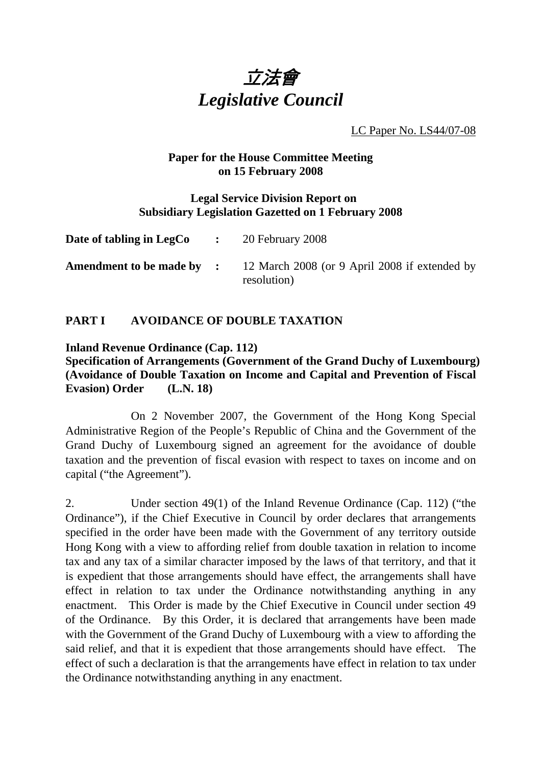

LC Paper No. LS44/07-08

#### **Paper for the House Committee Meeting on 15 February 2008**

#### **Legal Service Division Report on Subsidiary Legislation Gazetted on 1 February 2008**

| Date of tabling in LegCo $\cdot$ | 20 February 2008                                                                              |
|----------------------------------|-----------------------------------------------------------------------------------------------|
|                                  | <b>Amendment to be made by :</b> 12 March 2008 (or 9 April 2008 if extended by<br>resolution) |

# **PART I AVOIDANCE OF DOUBLE TAXATION**

### **Inland Revenue Ordinance (Cap. 112)**

### **Specification of Arrangements (Government of the Grand Duchy of Luxembourg) (Avoidance of Double Taxation on Income and Capital and Prevention of Fiscal Evasion) Order (L.N. 18)**

 On 2 November 2007, the Government of the Hong Kong Special Administrative Region of the People's Republic of China and the Government of the Grand Duchy of Luxembourg signed an agreement for the avoidance of double taxation and the prevention of fiscal evasion with respect to taxes on income and on capital ("the Agreement").

2. Under section 49(1) of the Inland Revenue Ordinance (Cap. 112) ("the Ordinance"), if the Chief Executive in Council by order declares that arrangements specified in the order have been made with the Government of any territory outside Hong Kong with a view to affording relief from double taxation in relation to income tax and any tax of a similar character imposed by the laws of that territory, and that it is expedient that those arrangements should have effect, the arrangements shall have effect in relation to tax under the Ordinance notwithstanding anything in any enactment. This Order is made by the Chief Executive in Council under section 49 of the Ordinance. By this Order, it is declared that arrangements have been made with the Government of the Grand Duchy of Luxembourg with a view to affording the said relief, and that it is expedient that those arrangements should have effect. The effect of such a declaration is that the arrangements have effect in relation to tax under the Ordinance notwithstanding anything in any enactment.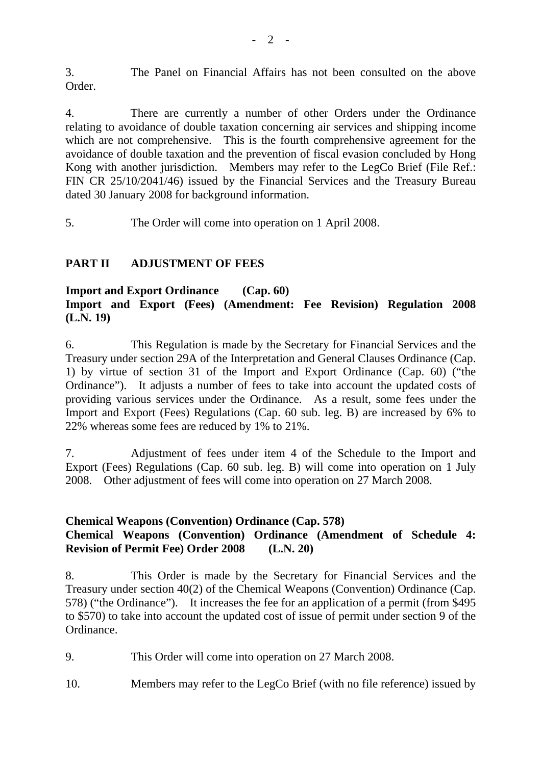3. The Panel on Financial Affairs has not been consulted on the above Order.

4. There are currently a number of other Orders under the Ordinance relating to avoidance of double taxation concerning air services and shipping income which are not comprehensive. This is the fourth comprehensive agreement for the avoidance of double taxation and the prevention of fiscal evasion concluded by Hong Kong with another jurisdiction. Members may refer to the LegCo Brief (File Ref.: FIN CR 25/10/2041/46) issued by the Financial Services and the Treasury Bureau dated 30 January 2008 for background information.

5. The Order will come into operation on 1 April 2008.

## **PART II ADJUSTMENT OF FEES**

### **Import and Export Ordinance (Cap. 60) Import and Export (Fees) (Amendment: Fee Revision) Regulation 2008 (L.N. 19)**

6. This Regulation is made by the Secretary for Financial Services and the Treasury under section 29A of the Interpretation and General Clauses Ordinance (Cap. 1) by virtue of section 31 of the Import and Export Ordinance (Cap. 60) ("the Ordinance"). It adjusts a number of fees to take into account the updated costs of providing various services under the Ordinance. As a result, some fees under the Import and Export (Fees) Regulations (Cap. 60 sub. leg. B) are increased by 6% to 22% whereas some fees are reduced by 1% to 21%.

7. Adjustment of fees under item 4 of the Schedule to the Import and Export (Fees) Regulations (Cap. 60 sub. leg. B) will come into operation on 1 July 2008. Other adjustment of fees will come into operation on 27 March 2008.

### **Chemical Weapons (Convention) Ordinance (Cap. 578)**

# **Chemical Weapons (Convention) Ordinance (Amendment of Schedule 4: Revision of Permit Fee) Order 2008 (L.N. 20)**

8. This Order is made by the Secretary for Financial Services and the Treasury under section 40(2) of the Chemical Weapons (Convention) Ordinance (Cap. 578) ("the Ordinance"). It increases the fee for an application of a permit (from \$495 to \$570) to take into account the updated cost of issue of permit under section 9 of the Ordinance.

9. This Order will come into operation on 27 March 2008.

10. Members may refer to the LegCo Brief (with no file reference) issued by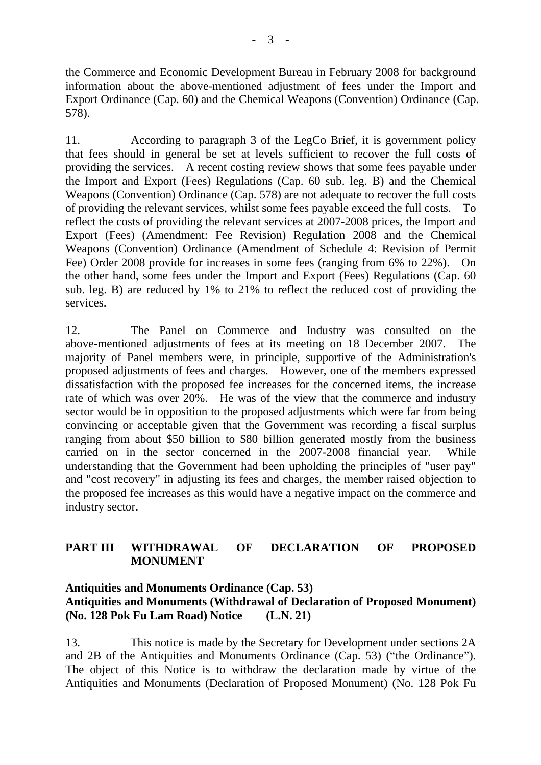the Commerce and Economic Development Bureau in February 2008 for background information about the above-mentioned adjustment of fees under the Import and Export Ordinance (Cap. 60) and the Chemical Weapons (Convention) Ordinance (Cap. 578).

11. According to paragraph 3 of the LegCo Brief, it is government policy that fees should in general be set at levels sufficient to recover the full costs of providing the services. A recent costing review shows that some fees payable under the Import and Export (Fees) Regulations (Cap. 60 sub. leg. B) and the Chemical Weapons (Convention) Ordinance (Cap. 578) are not adequate to recover the full costs of providing the relevant services, whilst some fees payable exceed the full costs. To reflect the costs of providing the relevant services at 2007-2008 prices, the Import and Export (Fees) (Amendment: Fee Revision) Regulation 2008 and the Chemical Weapons (Convention) Ordinance (Amendment of Schedule 4: Revision of Permit Fee) Order 2008 provide for increases in some fees (ranging from 6% to 22%). On the other hand, some fees under the Import and Export (Fees) Regulations (Cap. 60 sub. leg. B) are reduced by 1% to 21% to reflect the reduced cost of providing the services.

12. The Panel on Commerce and Industry was consulted on the above-mentioned adjustments of fees at its meeting on 18 December 2007. The majority of Panel members were, in principle, supportive of the Administration's proposed adjustments of fees and charges. However, one of the members expressed dissatisfaction with the proposed fee increases for the concerned items, the increase rate of which was over 20%. He was of the view that the commerce and industry sector would be in opposition to the proposed adjustments which were far from being convincing or acceptable given that the Government was recording a fiscal surplus ranging from about \$50 billion to \$80 billion generated mostly from the business carried on in the sector concerned in the 2007-2008 financial year. While understanding that the Government had been upholding the principles of "user pay" and "cost recovery" in adjusting its fees and charges, the member raised objection to the proposed fee increases as this would have a negative impact on the commerce and industry sector.

# **PART III WITHDRAWAL OF DECLARATION OF PROPOSED MONUMENT**

## **Antiquities and Monuments Ordinance (Cap. 53) Antiquities and Monuments (Withdrawal of Declaration of Proposed Monument) (No. 128 Pok Fu Lam Road) Notice (L.N. 21)**

13. This notice is made by the Secretary for Development under sections 2A and 2B of the Antiquities and Monuments Ordinance (Cap. 53) ("the Ordinance"). The object of this Notice is to withdraw the declaration made by virtue of the Antiquities and Monuments (Declaration of Proposed Monument) (No. 128 Pok Fu